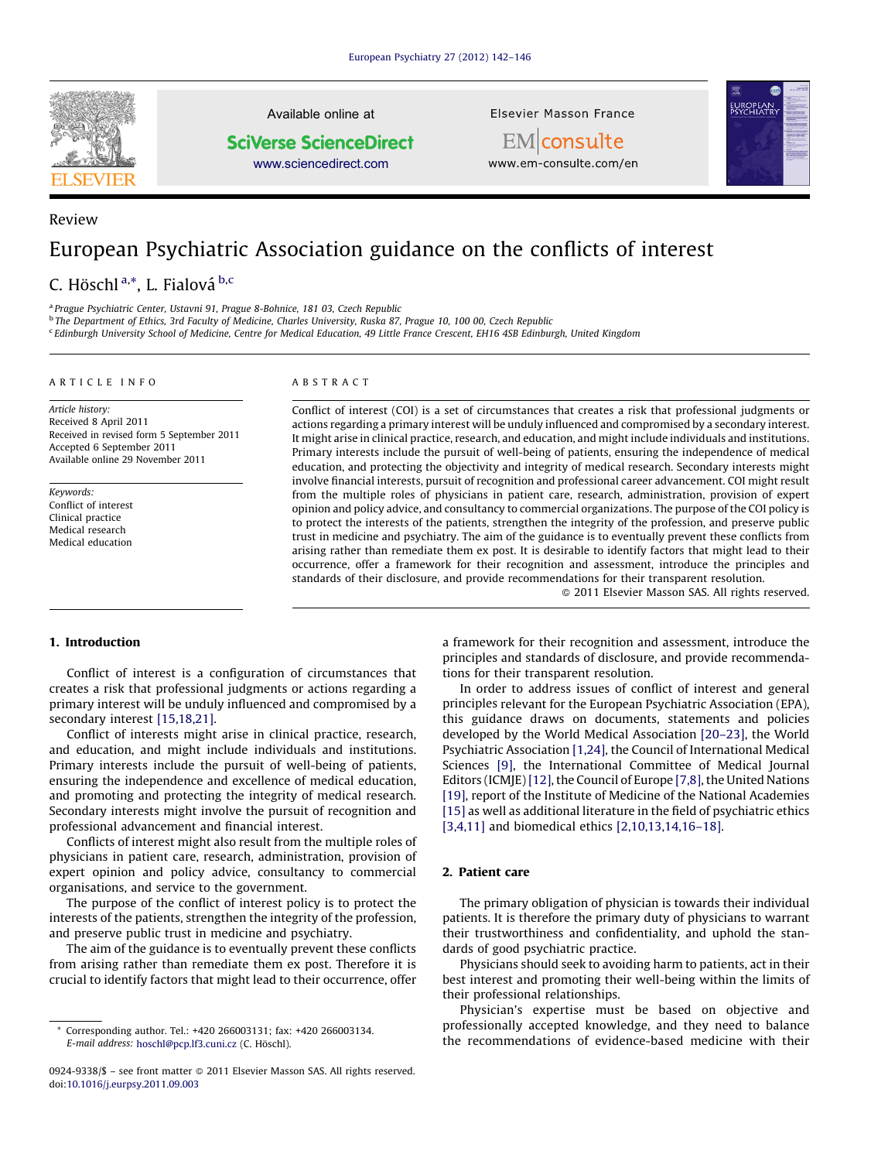

Review

Available online at

**SciVerse ScienceDirect** 

[www.sciencedirect.com](http://www.sciencedirect.com/science/journal/09249338)

Elsevier Masson France



EM consulte www.em-consulte.com/en

# European Psychiatric Association guidance on the conflicts of interest

# C. Höschl<sup>a,\*</sup>, L. Fialová <sup>b,c</sup>

<sup>a</sup> Prague Psychiatric Center, Ustavni 91, Prague 8-Bohnice, 181 03, Czech Republic

<sup>b</sup> The Department of Ethics, 3rd Faculty of Medicine, Charles University, Ruska 87, Prague 10, 100 00, Czech Republic

<sup>c</sup> Edinburgh University School of Medicine, Centre for Medical Education, 49 Little France Crescent, EH16 4SB Edinburgh, United Kingdom

#### A R T I C L E I N F O

A B S T R A C T

Article history: Received 8 April 2011 Received in revised form 5 September 2011 Accepted 6 September 2011 Available online 29 November 2011

Keywords: Conflict of interest Clinical practice Medical research Medical education

Conflict of interest (COI) is a set of circumstances that creates a risk that professional judgments or actions regarding a primary interest will be unduly influenced and compromised by a secondary interest. It might arise in clinical practice, research, and education, and might include individuals and institutions. Primary interests include the pursuit of well-being of patients, ensuring the independence of medical education, and protecting the objectivity and integrity of medical research. Secondary interests might involve financial interests, pursuit of recognition and professional career advancement. COI might result from the multiple roles of physicians in patient care, research, administration, provision of expert opinion and policy advice, and consultancy to commercial organizations. The purpose of the COI policy is to protect the interests of the patients, strengthen the integrity of the profession, and preserve public trust in medicine and psychiatry. The aim of the guidance is to eventually prevent these conflicts from arising rather than remediate them ex post. It is desirable to identify factors that might lead to their occurrence, offer a framework for their recognition and assessment, introduce the principles and standards of their disclosure, and provide recommendations for their transparent resolution.

 $\odot$  2011 Elsevier Masson SAS. All rights reserved.

#### 1. Introduction

Conflict of interest is a configuration of circumstances that creates a risk that professional judgments or actions regarding a primary interest will be unduly influenced and compromised by a secondary interest [\[15,18,21\]](#page-4-0).

Conflict of interests might arise in clinical practice, research, and education, and might include individuals and institutions. Primary interests include the pursuit of well-being of patients, ensuring the independence and excellence of medical education, and promoting and protecting the integrity of medical research. Secondary interests might involve the pursuit of recognition and professional advancement and financial interest.

Conflicts of interest might also result from the multiple roles of physicians in patient care, research, administration, provision of expert opinion and policy advice, consultancy to commercial organisations, and service to the government.

The purpose of the conflict of interest policy is to protect the interests of the patients, strengthen the integrity of the profession, and preserve public trust in medicine and psychiatry.

The aim of the guidance is to eventually prevent these conflicts from arising rather than remediate them ex post. Therefore it is crucial to identify factors that might lead to their occurrence, offer a framework for their recognition and assessment, introduce the principles and standards of disclosure, and provide recommendations for their transparent resolution.

In order to address issues of conflict of interest and general principles relevant for the European Psychiatric Association (EPA), this guidance draws on documents, statements and policies developed by the World Medical Association [\[20–23\]](#page-4-0), the World Psychiatric Association [\[1,24\]](#page-4-0), the Council of International Medical Sciences [\[9\],](#page-4-0) the International Committee of Medical Journal Editors (ICMJE) [\[12\]](#page-4-0), the Council of Europe [\[7,8\],](#page-4-0) the United Nations [\[19\]](#page-4-0), report of the Institute of Medicine of the National Academies [\[15\]](#page-4-0) as well as additional literature in the field of psychiatric ethics [\[3,4,11\]](#page-4-0) and biomedical ethics [\[2,10,13,14,16–18\]](#page-4-0).

#### 2. Patient care

The primary obligation of physician is towards their individual patients. It is therefore the primary duty of physicians to warrant their trustworthiness and confidentiality, and uphold the standards of good psychiatric practice.

Physicians should seek to avoiding harm to patients, act in their best interest and promoting their well-being within the limits of their professional relationships.

Physician's expertise must be based on objective and professionally accepted knowledge, and they need to balance the recommendations of evidence-based medicine with their

Corresponding author. Tel.: +420 266003131; fax: +420 266003134. E-mail address: [hoschl@pcp.lf3.cuni.cz](mailto:hoschl@pcp.lf3.cuni.cz) (C. Höschl).

<sup>0924-9338/\$ –</sup> see front matter © 2011 Elsevier Masson SAS. All rights reserved. doi:[10.1016/j.eurpsy.2011.09.003](http://dx.doi.org/10.1016/j.eurpsy.2011.09.003)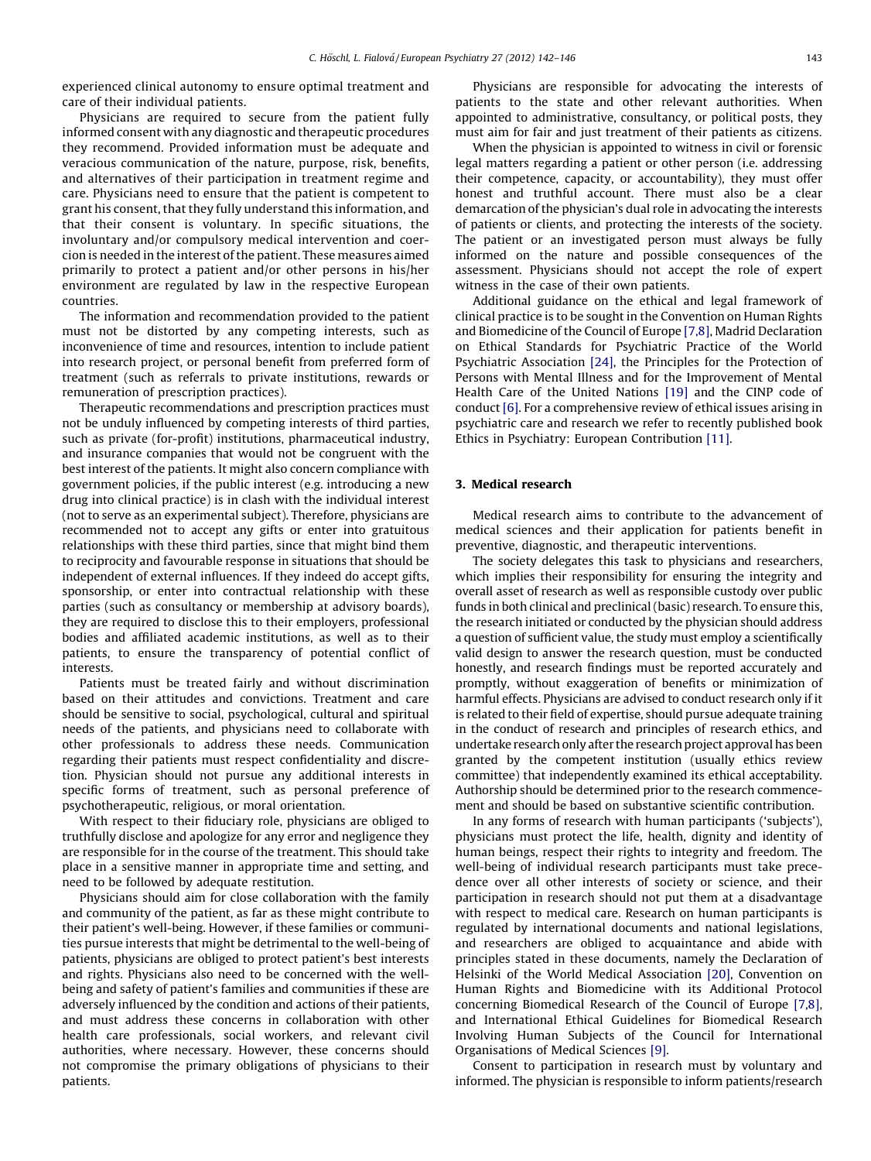experienced clinical autonomy to ensure optimal treatment and care of their individual patients.

Physicians are required to secure from the patient fully informed consent with any diagnostic and therapeutic procedures they recommend. Provided information must be adequate and veracious communication of the nature, purpose, risk, benefits, and alternatives of their participation in treatment regime and care. Physicians need to ensure that the patient is competent to grant his consent, that they fully understand this information, and that their consent is voluntary. In specific situations, the involuntary and/or compulsory medical intervention and coercion is needed in the interest of the patient. These measures aimed primarily to protect a patient and/or other persons in his/her environment are regulated by law in the respective European countries.

The information and recommendation provided to the patient must not be distorted by any competing interests, such as inconvenience of time and resources, intention to include patient into research project, or personal benefit from preferred form of treatment (such as referrals to private institutions, rewards or remuneration of prescription practices).

Therapeutic recommendations and prescription practices must not be unduly influenced by competing interests of third parties, such as private (for-profit) institutions, pharmaceutical industry, and insurance companies that would not be congruent with the best interest of the patients. It might also concern compliance with government policies, if the public interest (e.g. introducing a new drug into clinical practice) is in clash with the individual interest (not to serve as an experimental subject). Therefore, physicians are recommended not to accept any gifts or enter into gratuitous relationships with these third parties, since that might bind them to reciprocity and favourable response in situations that should be independent of external influences. If they indeed do accept gifts, sponsorship, or enter into contractual relationship with these parties (such as consultancy or membership at advisory boards), they are required to disclose this to their employers, professional bodies and affiliated academic institutions, as well as to their patients, to ensure the transparency of potential conflict of interests.

Patients must be treated fairly and without discrimination based on their attitudes and convictions. Treatment and care should be sensitive to social, psychological, cultural and spiritual needs of the patients, and physicians need to collaborate with other professionals to address these needs. Communication regarding their patients must respect confidentiality and discretion. Physician should not pursue any additional interests in specific forms of treatment, such as personal preference of psychotherapeutic, religious, or moral orientation.

With respect to their fiduciary role, physicians are obliged to truthfully disclose and apologize for any error and negligence they are responsible for in the course of the treatment. This should take place in a sensitive manner in appropriate time and setting, and need to be followed by adequate restitution.

Physicians should aim for close collaboration with the family and community of the patient, as far as these might contribute to their patient's well-being. However, if these families or communities pursue interests that might be detrimental to the well-being of patients, physicians are obliged to protect patient's best interests and rights. Physicians also need to be concerned with the wellbeing and safety of patient's families and communities if these are adversely influenced by the condition and actions of their patients, and must address these concerns in collaboration with other health care professionals, social workers, and relevant civil authorities, where necessary. However, these concerns should not compromise the primary obligations of physicians to their patients.

Physicians are responsible for advocating the interests of patients to the state and other relevant authorities. When appointed to administrative, consultancy, or political posts, they must aim for fair and just treatment of their patients as citizens.

When the physician is appointed to witness in civil or forensic legal matters regarding a patient or other person (i.e. addressing their competence, capacity, or accountability), they must offer honest and truthful account. There must also be a clear demarcation of the physician's dual role in advocating the interests of patients or clients, and protecting the interests of the society. The patient or an investigated person must always be fully informed on the nature and possible consequences of the assessment. Physicians should not accept the role of expert witness in the case of their own patients.

Additional guidance on the ethical and legal framework of clinical practice is to be sought in the Convention on Human Rights and Biomedicine of the Council of Europe [\[7,8\],](#page-4-0) Madrid Declaration on Ethical Standards for Psychiatric Practice of the World Psychiatric Association [\[24\],](#page-4-0) the Principles for the Protection of Persons with Mental Illness and for the Improvement of Mental Health Care of the United Nations [\[19\]](#page-4-0) and the CINP code of conduct [\[6\].](#page-4-0) For a comprehensive review of ethical issues arising in psychiatric care and research we refer to recently published book Ethics in Psychiatry: European Contribution [\[11\]](#page-4-0).

## 3. Medical research

Medical research aims to contribute to the advancement of medical sciences and their application for patients benefit in preventive, diagnostic, and therapeutic interventions.

The society delegates this task to physicians and researchers, which implies their responsibility for ensuring the integrity and overall asset of research as well as responsible custody over public funds in both clinical and preclinical (basic) research. To ensure this, the research initiated or conducted by the physician should address a question of sufficient value, the study must employ a scientifically valid design to answer the research question, must be conducted honestly, and research findings must be reported accurately and promptly, without exaggeration of benefits or minimization of harmful effects. Physicians are advised to conduct research only if it is related to their field of expertise, should pursue adequate training in the conduct of research and principles of research ethics, and undertake research only after the research project approvalhas been granted by the competent institution (usually ethics review committee) that independently examined its ethical acceptability. Authorship should be determined prior to the research commencement and should be based on substantive scientific contribution.

In any forms of research with human participants ('subjects'), physicians must protect the life, health, dignity and identity of human beings, respect their rights to integrity and freedom. The well-being of individual research participants must take precedence over all other interests of society or science, and their participation in research should not put them at a disadvantage with respect to medical care. Research on human participants is regulated by international documents and national legislations, and researchers are obliged to acquaintance and abide with principles stated in these documents, namely the Declaration of Helsinki of the World Medical Association [\[20\],](#page-4-0) Convention on Human Rights and Biomedicine with its Additional Protocol concerning Biomedical Research of the Council of Europe [\[7,8\],](#page-4-0) and International Ethical Guidelines for Biomedical Research Involving Human Subjects of the Council for International Organisations of Medical Sciences [\[9\].](#page-4-0)

Consent to participation in research must by voluntary and informed. The physician is responsible to inform patients/research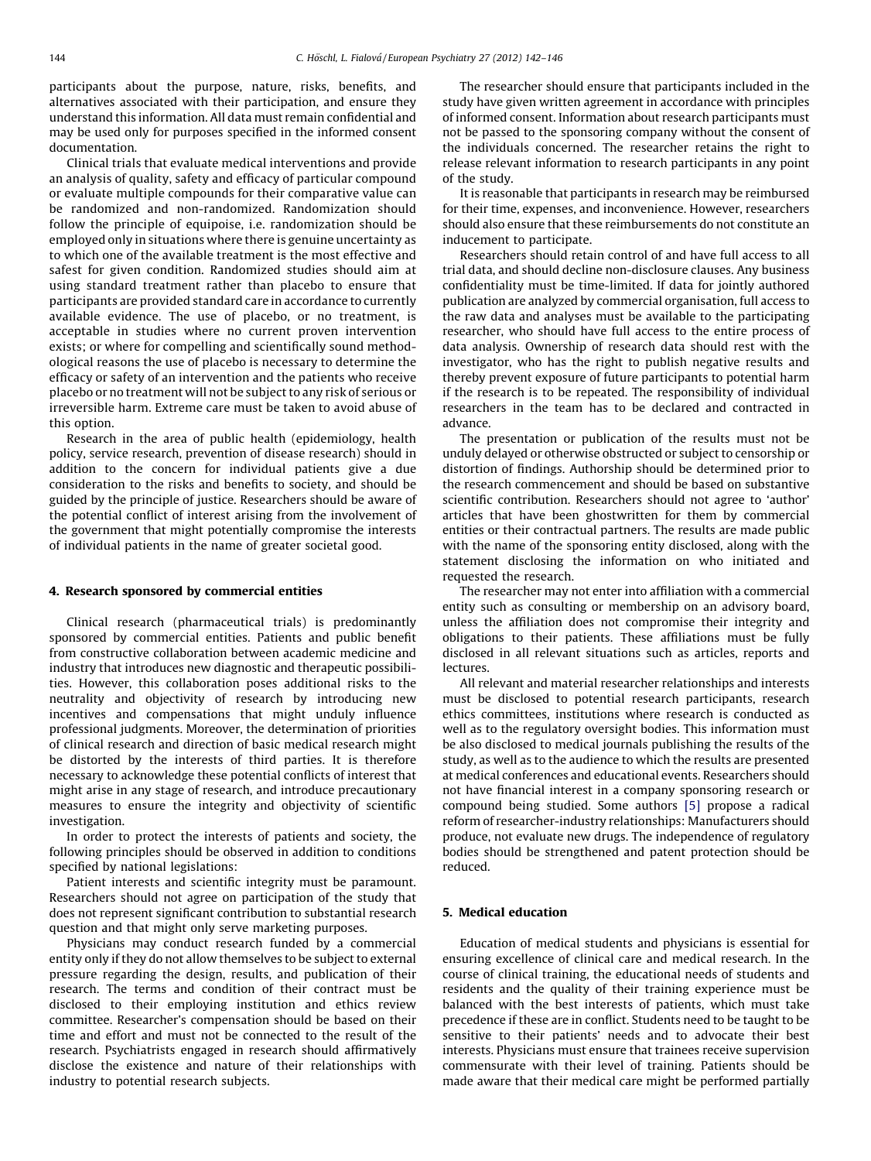participants about the purpose, nature, risks, benefits, and alternatives associated with their participation, and ensure they understand this information. All data must remain confidential and may be used only for purposes specified in the informed consent documentation.

Clinical trials that evaluate medical interventions and provide an analysis of quality, safety and efficacy of particular compound or evaluate multiple compounds for their comparative value can be randomized and non-randomized. Randomization should follow the principle of equipoise, i.e. randomization should be employed only in situations where there is genuine uncertainty as to which one of the available treatment is the most effective and safest for given condition. Randomized studies should aim at using standard treatment rather than placebo to ensure that participants are provided standard care in accordance to currently available evidence. The use of placebo, or no treatment, is acceptable in studies where no current proven intervention exists; or where for compelling and scientifically sound methodological reasons the use of placebo is necessary to determine the efficacy or safety of an intervention and the patients who receive placebo or no treatment will not be subject to any risk of serious or irreversible harm. Extreme care must be taken to avoid abuse of this option.

Research in the area of public health (epidemiology, health policy, service research, prevention of disease research) should in addition to the concern for individual patients give a due consideration to the risks and benefits to society, and should be guided by the principle of justice. Researchers should be aware of the potential conflict of interest arising from the involvement of the government that might potentially compromise the interests of individual patients in the name of greater societal good.

#### 4. Research sponsored by commercial entities

Clinical research (pharmaceutical trials) is predominantly sponsored by commercial entities. Patients and public benefit from constructive collaboration between academic medicine and industry that introduces new diagnostic and therapeutic possibilities. However, this collaboration poses additional risks to the neutrality and objectivity of research by introducing new incentives and compensations that might unduly influence professional judgments. Moreover, the determination of priorities of clinical research and direction of basic medical research might be distorted by the interests of third parties. It is therefore necessary to acknowledge these potential conflicts of interest that might arise in any stage of research, and introduce precautionary measures to ensure the integrity and objectivity of scientific investigation.

In order to protect the interests of patients and society, the following principles should be observed in addition to conditions specified by national legislations:

Patient interests and scientific integrity must be paramount. Researchers should not agree on participation of the study that does not represent significant contribution to substantial research question and that might only serve marketing purposes.

Physicians may conduct research funded by a commercial entity only if they do not allow themselves to be subject to external pressure regarding the design, results, and publication of their research. The terms and condition of their contract must be disclosed to their employing institution and ethics review committee. Researcher's compensation should be based on their time and effort and must not be connected to the result of the research. Psychiatrists engaged in research should affirmatively disclose the existence and nature of their relationships with industry to potential research subjects.

The researcher should ensure that participants included in the study have given written agreement in accordance with principles of informed consent. Information about research participants must not be passed to the sponsoring company without the consent of the individuals concerned. The researcher retains the right to release relevant information to research participants in any point of the study.

It is reasonable that participants in research may be reimbursed for their time, expenses, and inconvenience. However, researchers should also ensure that these reimbursements do not constitute an inducement to participate.

Researchers should retain control of and have full access to all trial data, and should decline non-disclosure clauses. Any business confidentiality must be time-limited. If data for jointly authored publication are analyzed by commercial organisation, full access to the raw data and analyses must be available to the participating researcher, who should have full access to the entire process of data analysis. Ownership of research data should rest with the investigator, who has the right to publish negative results and thereby prevent exposure of future participants to potential harm if the research is to be repeated. The responsibility of individual researchers in the team has to be declared and contracted in advance.

The presentation or publication of the results must not be unduly delayed or otherwise obstructed or subject to censorship or distortion of findings. Authorship should be determined prior to the research commencement and should be based on substantive scientific contribution. Researchers should not agree to 'author' articles that have been ghostwritten for them by commercial entities or their contractual partners. The results are made public with the name of the sponsoring entity disclosed, along with the statement disclosing the information on who initiated and requested the research.

The researcher may not enter into affiliation with a commercial entity such as consulting or membership on an advisory board, unless the affiliation does not compromise their integrity and obligations to their patients. These affiliations must be fully disclosed in all relevant situations such as articles, reports and lectures.

All relevant and material researcher relationships and interests must be disclosed to potential research participants, research ethics committees, institutions where research is conducted as well as to the regulatory oversight bodies. This information must be also disclosed to medical journals publishing the results of the study, as well as to the audience to which the results are presented at medical conferences and educational events. Researchers should not have financial interest in a company sponsoring research or compound being studied. Some authors [\[5\]](#page-4-0) propose a radical reform of researcher-industry relationships: Manufacturers should produce, not evaluate new drugs. The independence of regulatory bodies should be strengthened and patent protection should be reduced.

#### 5. Medical education

Education of medical students and physicians is essential for ensuring excellence of clinical care and medical research. In the course of clinical training, the educational needs of students and residents and the quality of their training experience must be balanced with the best interests of patients, which must take precedence if these are in conflict. Students need to be taught to be sensitive to their patients' needs and to advocate their best interests. Physicians must ensure that trainees receive supervision commensurate with their level of training. Patients should be made aware that their medical care might be performed partially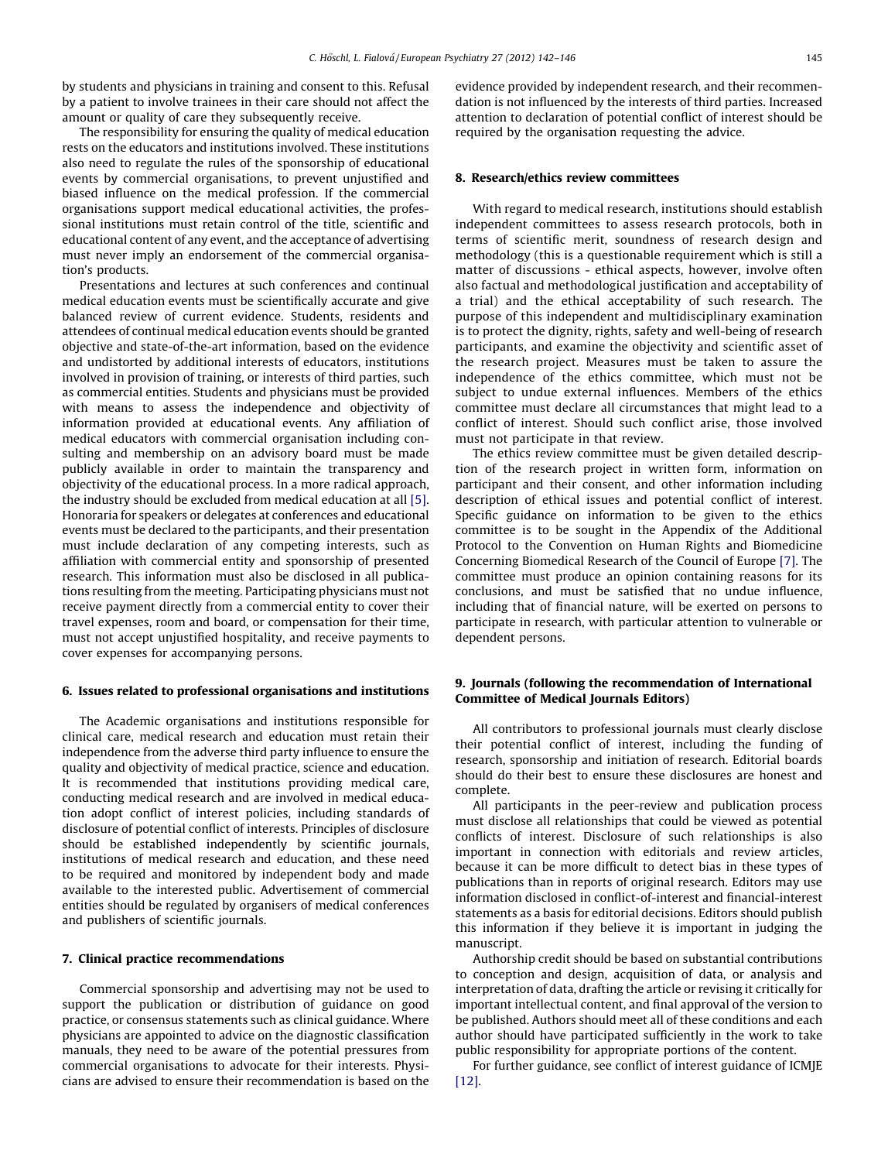by students and physicians in training and consent to this. Refusal by a patient to involve trainees in their care should not affect the amount or quality of care they subsequently receive.

The responsibility for ensuring the quality of medical education rests on the educators and institutions involved. These institutions also need to regulate the rules of the sponsorship of educational events by commercial organisations, to prevent unjustified and biased influence on the medical profession. If the commercial organisations support medical educational activities, the professional institutions must retain control of the title, scientific and educational content of any event, and the acceptance of advertising must never imply an endorsement of the commercial organisation's products.

Presentations and lectures at such conferences and continual medical education events must be scientifically accurate and give balanced review of current evidence. Students, residents and attendees of continual medical education events should be granted objective and state-of-the-art information, based on the evidence and undistorted by additional interests of educators, institutions involved in provision of training, or interests of third parties, such as commercial entities. Students and physicians must be provided with means to assess the independence and objectivity of information provided at educational events. Any affiliation of medical educators with commercial organisation including consulting and membership on an advisory board must be made publicly available in order to maintain the transparency and objectivity of the educational process. In a more radical approach, the industry should be excluded from medical education at all [\[5\].](#page-4-0) Honoraria for speakers or delegates at conferences and educational events must be declared to the participants, and their presentation must include declaration of any competing interests, such as affiliation with commercial entity and sponsorship of presented research. This information must also be disclosed in all publications resulting from the meeting. Participating physicians must not receive payment directly from a commercial entity to cover their travel expenses, room and board, or compensation for their time, must not accept unjustified hospitality, and receive payments to cover expenses for accompanying persons.

#### 6. Issues related to professional organisations and institutions

The Academic organisations and institutions responsible for clinical care, medical research and education must retain their independence from the adverse third party influence to ensure the quality and objectivity of medical practice, science and education. It is recommended that institutions providing medical care, conducting medical research and are involved in medical education adopt conflict of interest policies, including standards of disclosure of potential conflict of interests. Principles of disclosure should be established independently by scientific journals, institutions of medical research and education, and these need to be required and monitored by independent body and made available to the interested public. Advertisement of commercial entities should be regulated by organisers of medical conferences and publishers of scientific journals.

#### 7. Clinical practice recommendations

Commercial sponsorship and advertising may not be used to support the publication or distribution of guidance on good practice, or consensus statements such as clinical guidance. Where physicians are appointed to advice on the diagnostic classification manuals, they need to be aware of the potential pressures from commercial organisations to advocate for their interests. Physicians are advised to ensure their recommendation is based on the

evidence provided by independent research, and their recommendation is not influenced by the interests of third parties. Increased attention to declaration of potential conflict of interest should be required by the organisation requesting the advice.

#### 8. Research/ethics review committees

With regard to medical research, institutions should establish independent committees to assess research protocols, both in terms of scientific merit, soundness of research design and methodology (this is a questionable requirement which is still a matter of discussions - ethical aspects, however, involve often also factual and methodological justification and acceptability of a trial) and the ethical acceptability of such research. The purpose of this independent and multidisciplinary examination is to protect the dignity, rights, safety and well-being of research participants, and examine the objectivity and scientific asset of the research project. Measures must be taken to assure the independence of the ethics committee, which must not be subject to undue external influences. Members of the ethics committee must declare all circumstances that might lead to a conflict of interest. Should such conflict arise, those involved must not participate in that review.

The ethics review committee must be given detailed description of the research project in written form, information on participant and their consent, and other information including description of ethical issues and potential conflict of interest. Specific guidance on information to be given to the ethics committee is to be sought in the Appendix of the Additional Protocol to the Convention on Human Rights and Biomedicine Concerning Biomedical Research of the Council of Europe [\[7\]](#page-4-0). The committee must produce an opinion containing reasons for its conclusions, and must be satisfied that no undue influence, including that of financial nature, will be exerted on persons to participate in research, with particular attention to vulnerable or dependent persons.

### 9. Journals (following the recommendation of International Committee of Medical Journals Editors)

All contributors to professional journals must clearly disclose their potential conflict of interest, including the funding of research, sponsorship and initiation of research. Editorial boards should do their best to ensure these disclosures are honest and complete.

All participants in the peer-review and publication process must disclose all relationships that could be viewed as potential conflicts of interest. Disclosure of such relationships is also important in connection with editorials and review articles, because it can be more difficult to detect bias in these types of publications than in reports of original research. Editors may use information disclosed in conflict-of-interest and financial-interest statements as a basis for editorial decisions. Editors should publish this information if they believe it is important in judging the manuscript.

Authorship credit should be based on substantial contributions to conception and design, acquisition of data, or analysis and interpretation of data, drafting the article or revising it critically for important intellectual content, and final approval of the version to be published. Authors should meet all of these conditions and each author should have participated sufficiently in the work to take public responsibility for appropriate portions of the content.

For further guidance, see conflict of interest guidance of ICMJE [\[12\]](#page-4-0).